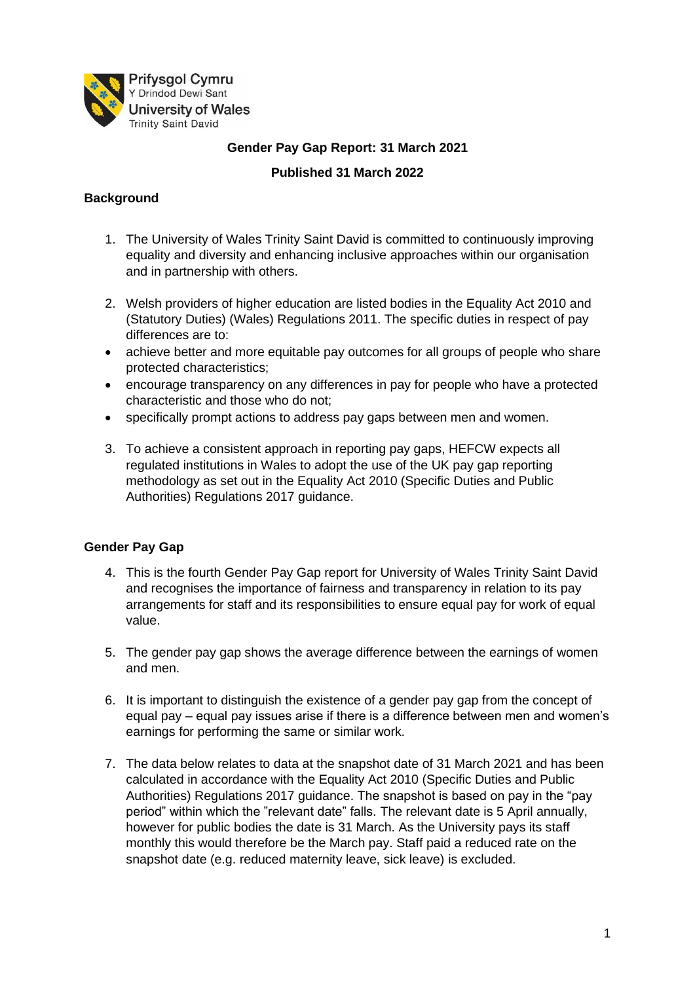

**Gender Pay Gap Report: 31 March 2021**

### **Published 31 March 2022**

# **Background**

- 1. The University of Wales Trinity Saint David is committed to continuously improving equality and diversity and enhancing inclusive approaches within our organisation and in partnership with others.
- 2. Welsh providers of higher education are listed bodies in the Equality Act 2010 and (Statutory Duties) (Wales) Regulations 2011. The specific duties in respect of pay differences are to:
- achieve better and more equitable pay outcomes for all groups of people who share protected characteristics;
- encourage transparency on any differences in pay for people who have a protected characteristic and those who do not;
- specifically prompt actions to address pay gaps between men and women.
- 3. To achieve a consistent approach in reporting pay gaps, HEFCW expects all regulated institutions in Wales to adopt the use of the UK pay gap reporting methodology as set out in the Equality Act 2010 (Specific Duties and Public Authorities) Regulations 2017 guidance.

### **Gender Pay Gap**

- 4. This is the fourth Gender Pay Gap report for University of Wales Trinity Saint David and recognises the importance of fairness and transparency in relation to its pay arrangements for staff and its responsibilities to ensure equal pay for work of equal value.
- 5. The gender pay gap shows the average difference between the earnings of women and men.
- 6. It is important to distinguish the existence of a gender pay gap from the concept of equal pay – equal pay issues arise if there is a difference between men and women's earnings for performing the same or similar work.
- 7. The data below relates to data at the snapshot date of 31 March 2021 and has been calculated in accordance with the Equality Act 2010 (Specific Duties and Public Authorities) Regulations 2017 guidance. The snapshot is based on pay in the "pay period" within which the "relevant date" falls. The relevant date is 5 April annually, however for public bodies the date is 31 March. As the University pays its staff monthly this would therefore be the March pay. Staff paid a reduced rate on the snapshot date (e.g. reduced maternity leave, sick leave) is excluded.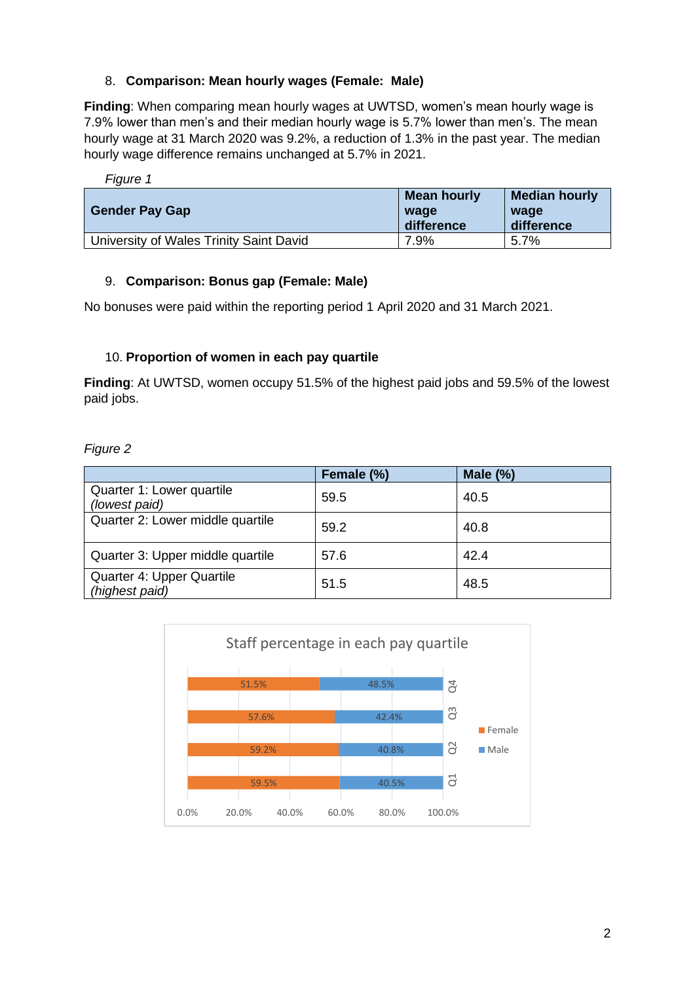### 8. **Comparison: Mean hourly wages (Female: Male)**

**Finding**: When comparing mean hourly wages at UWTSD, women's mean hourly wage is 7.9% lower than men's and their median hourly wage is 5.7% lower than men's. The mean hourly wage at 31 March 2020 was 9.2%, a reduction of 1.3% in the past year. The median hourly wage difference remains unchanged at 5.7% in 2021.

| Figure 1                                |                                   |                                            |
|-----------------------------------------|-----------------------------------|--------------------------------------------|
| <b>Gender Pay Gap</b>                   | Mean hourly<br>wage<br>difference | <b>Median hourly</b><br>wage<br>difference |
| University of Wales Trinity Saint David | 7.9%                              | 5.7%                                       |

#### 9. **Comparison: Bonus gap (Female: Male)**

No bonuses were paid within the reporting period 1 April 2020 and 31 March 2021.

#### 10. **Proportion of women in each pay quartile**

**Finding**: At UWTSD, women occupy 51.5% of the highest paid jobs and 59.5% of the lowest paid jobs.

*Figure 2* 

|                                             | Female (%) | Male $(\%)$ |
|---------------------------------------------|------------|-------------|
| Quarter 1: Lower quartile<br>(lowest paid)  | 59.5       | 40.5        |
| Quarter 2: Lower middle quartile            | 59.2       | 40.8        |
| Quarter 3: Upper middle quartile            | 57.6       | 42.4        |
| Quarter 4: Upper Quartile<br>(highest paid) | 51.5       | 48.5        |